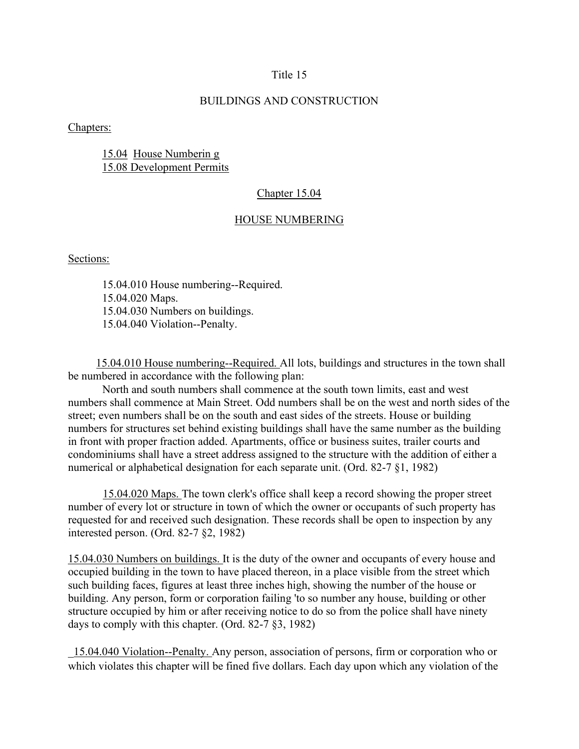# Title 15

# BUILDINGS AND CONSTRUCTION

Chapters:

15.04 House Numberin g 15.08 Development Permits

# Chapter 15.04

### HOUSE NUMBERING

Sections:

15.04.010 House numbering--Required. 15.04.020 Maps. 15.04.030 Numbers on buildings. 15.04.040 Violation--Penalty.

 15.04.010 House numbering--Required. All lots, buildings and structures in the town shall be numbered in accordance with the following plan:

North and south numbers shall commence at the south town limits, east and west numbers shall commence at Main Street. Odd numbers shall be on the west and north sides of the street; even numbers shall be on the south and east sides of the streets. House or building numbers for structures set behind existing buildings shall have the same number as the building in front with proper fraction added. Apartments, office or business suites, trailer courts and condominiums shall have a street address assigned to the structure with the addition of either a numerical or alphabetical designation for each separate unit. (Ord. 82-7 §1, 1982)

15.04.020 Maps. The town clerk's office shall keep a record showing the proper street number of every lot or structure in town of which the owner or occupants of such property has requested for and received such designation. These records shall be open to inspection by any interested person. (Ord. 82-7 §2, 1982)

15.04.030 Numbers on buildings. It is the duty of the owner and occupants of every house and occupied building in the town to have placed thereon, in a place visible from the street which such building faces, figures at least three inches high, showing the number of the house or building. Any person, form or corporation failing 'to so number any house, building or other structure occupied by him or after receiving notice to do so from the police shall have ninety days to comply with this chapter. (Ord. 82-7 §3, 1982)

\_15.04.040 Violation--Penalty. Any person, association of persons, firm or corporation who or which violates this chapter will be fined five dollars. Each day upon which any violation of the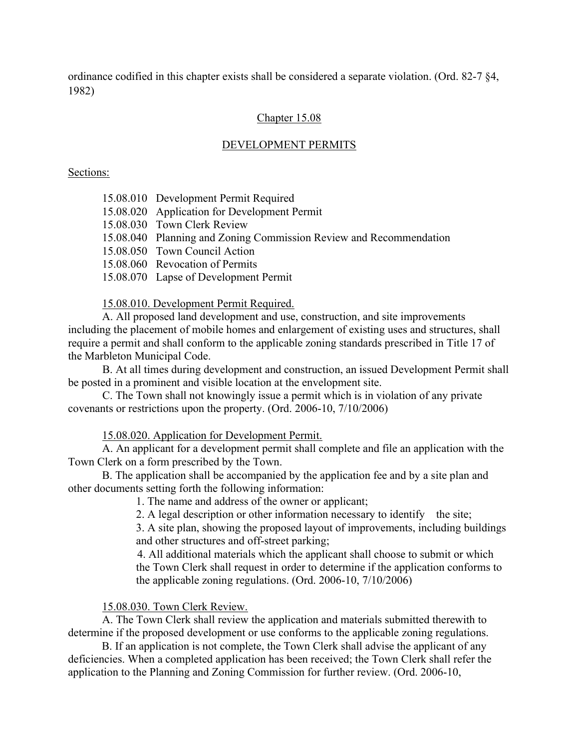ordinance codified in this chapter exists shall be considered a separate violation. (Ord. 82-7 §4, 1982)

# Chapter 15.08

### DEVELOPMENT PERMITS

# Sections:

| 15.08.010 Development Permit Required |  |  |
|---------------------------------------|--|--|
|                                       |  |  |

- 15.08.020 Application for Development Permit
- 15.08.030 Town Clerk Review
- 15.08.040 Planning and Zoning Commission Review and Recommendation
- 15.08.050 Town Council Action
- 15.08.060 Revocation of Permits
- 15.08.070 Lapse of Development Permit

## 15.08.010. Development Permit Required.

A. All proposed land development and use, construction, and site improvements including the placement of mobile homes and enlargement of existing uses and structures, shall require a permit and shall conform to the applicable zoning standards prescribed in Title 17 of the Marbleton Municipal Code.

 B. At all times during development and construction, an issued Development Permit shall be posted in a prominent and visible location at the envelopment site.

 C. The Town shall not knowingly issue a permit which is in violation of any private covenants or restrictions upon the property. (Ord. 2006-10, 7/10/2006)

15.08.020. Application for Development Permit.

A. An applicant for a development permit shall complete and file an application with the Town Clerk on a form prescribed by the Town.

B. The application shall be accompanied by the application fee and by a site plan and other documents setting forth the following information:

1. The name and address of the owner or applicant;

2. A legal description or other information necessary to identify the site;

3. A site plan, showing the proposed layout of improvements, including buildings and other structures and off-street parking;

4. All additional materials which the applicant shall choose to submit or which the Town Clerk shall request in order to determine if the application conforms to the applicable zoning regulations. (Ord. 2006-10, 7/10/2006)

## 15.08.030. Town Clerk Review.

A. The Town Clerk shall review the application and materials submitted therewith to determine if the proposed development or use conforms to the applicable zoning regulations.

B. If an application is not complete, the Town Clerk shall advise the applicant of any deficiencies. When a completed application has been received; the Town Clerk shall refer the application to the Planning and Zoning Commission for further review. (Ord. 2006-10,